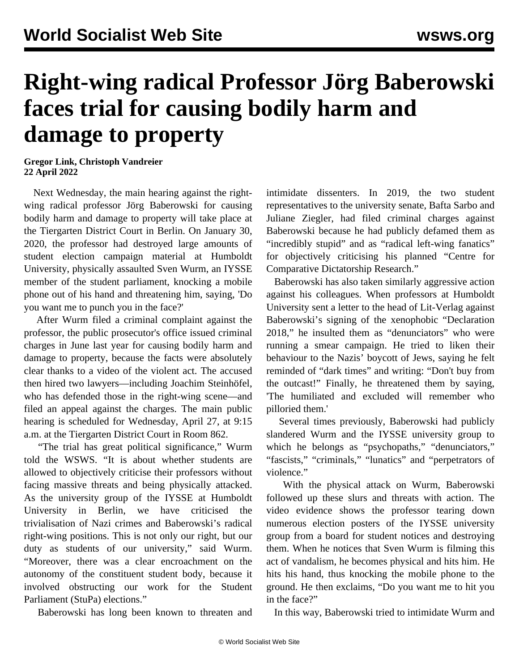## **Right-wing radical Professor Jörg Baberowski faces trial for causing bodily harm and damage to property**

**Gregor Link, Christoph Vandreier 22 April 2022**

 Next Wednesday, the main hearing against the rightwing radical professor Jörg Baberowski for causing bodily harm and damage to property will take place at the Tiergarten District Court in Berlin. On January 30, 2020, the professor had destroyed large amounts of student election campaign material at Humboldt University, physically assaulted Sven Wurm, an IYSSE member of the student parliament, knocking a mobile phone out of his hand and threatening him, saying, 'Do you want me to punch you in the face?'

 After Wurm filed a criminal complaint against the professor, the public prosecutor's office issued criminal charges in June last year for causing bodily harm and damage to property, because the facts were absolutely clear thanks to a video of the violent act. The accused then hired two lawyers—including Joachim Steinhöfel, who has defended those in the right-wing scene—and filed an appeal against the charges. The main public hearing is scheduled for Wednesday, April 27, at 9:15 a.m. at the Tiergarten District Court in Room 862.

 "The trial has great political significance," Wurm told the WSWS. "It is about whether students are allowed to objectively criticise their professors without facing massive threats and being physically attacked. As the university group of the IYSSE at Humboldt University in Berlin, we have criticised the trivialisation of Nazi crimes and Baberowski's radical right-wing positions. This is not only our right, but our duty as students of our university," said Wurm. "Moreover, there was a clear encroachment on the autonomy of the constituent student body, because it involved obstructing our work for the Student Parliament (StuPa) elections."

Baberowski has long been known to threaten and

intimidate dissenters. In 2019, the two student representatives to the university senate, Bafta Sarbo and Juliane Ziegler, had filed criminal charges against Baberowski because he had publicly defamed them as "incredibly stupid" and as "radical left-wing fanatics" for objectively criticising his planned "Centre for Comparative Dictatorship Research."

 Baberowski has also taken similarly aggressive action against his [colleagues.](/en/articles/2018/05/01/babe-m01.html) When professors at Humboldt University sent a letter to the head of Lit-Verlag against Baberowski's signing of the xenophobic "Declaration 2018," he insulted them as "denunciators" who were running a smear campaign. He tried to liken their behaviour to the Nazis' boycott of Jews, saying he felt reminded of "dark times" and writing: "Don't buy from the outcast!" Finally, he threatened them by saying, 'The humiliated and excluded will remember who pilloried them.'

 Several times previously, Baberowski had publicly slandered Wurm and the IYSSE university group to which he belongs as "psychopaths," "denunciators," "fascists," "criminals," "lunatics" and "perpetrators of violence."

 With the physical attack on Wurm, Baberowski followed up these slurs and threats with action. The video evidence shows the professor tearing down numerous election posters of the IYSSE university group from a board for student notices and destroying them. When he notices that Sven Wurm is filming this act of vandalism, he becomes physical and hits him. He hits his hand, thus knocking the mobile phone to the ground. He then exclaims, "Do you want me to hit you in the face?"

In this way, Baberowski tried to intimidate Wurm and